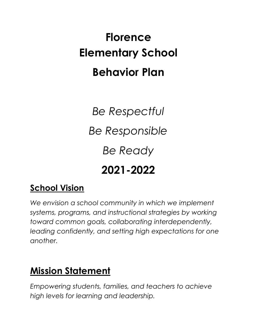# **Florence Elementary School Behavior Plan**

*Be Respectful Be Responsible Be Ready* **2021-2022**

### **School Vision**

*We envision a school community in which we implement systems, programs, and instructional strategies by working toward common goals, collaborating interdependently, leading confidently, and setting high expectations for one another.*

### **Mission Statement**

*Empowering students, families, and teachers to achieve high levels for learning and leadership.*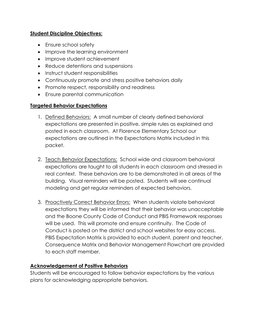#### **Student Discipline Objectives:**

- Ensure school safety
- Improve the learning environment
- Improve student achievement
- Reduce detentions and suspensions
- Instruct student responsibilities
- Continuously promote and stress positive behaviors daily
- Promote respect, responsibility and readiness
- Ensure parental communication

#### **Targeted Behavior Expectations**

- 1. Defined Behaviors: A small number of clearly defined behavioral expectations are presented in positive, simple rules as explained and posted in each classroom. At Florence Elementary School our expectations are outlined in the Expectations Matrix included in this packet.
- 2. Teach Behavior Expectations: School wide and classroom behavioral expectations are taught to all students in each classroom and stressed in real context. These behaviors are to be demonstrated in all areas of the building. Visual reminders will be posted. Students will see continual modeling and get regular reminders of expected behaviors.
- 3. Proactively Correct Behavior Errors: When students violate behavioral expectations they will be informed that their behavior was unacceptable and the Boone County Code of Conduct and PBIS Framework responses will be used. This will promote and ensure continuity. The Code of Conduct is posted on the district and school websites for easy access. PBIS Expectation Matrix is provided to each student, parent and teacher. Consequence Matrix and Behavior Management Flowchart are provided to each staff member.

#### **Acknowledgement of Positive Behaviors**

Students will be encouraged to follow behavior expectations by the various plans for acknowledging appropriate behaviors.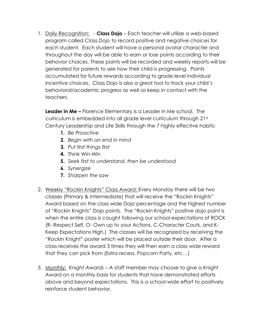*1.* Daily Recognition: - **Class Dojo** – Each teacher will utilize a web-based program called *Class Dojo* to record positive and negative choices for each student. Each student will have a personal avatar character and throughout the day will be able to earn or lose points according to their behavior choices. These points will be recorded and weekly reports will be generated for parents to see how their child is progressing. Points accumulated for future rewards according to grade level individual incentive choices. Class Dojo is also a great tool to track your child's behavioral/academic progress as well as keep in contact with the teachers.

**Leader in Me –** Florence Elementary is a Leader in Me school. The curriculum is embedded into all grade level curriculum through 21st Century Leadership and Life Skills through the 7 highly effective habits:

- **1.** *Be Proactive*
- **2.** *Begin with an end in mind*
- **3.** *Put first things first*
- **4.** *Think Win-Win*
- **5.** *Seek first to understand, then be understood*
- **6.** *Synergize*
- **7.** *Sharpen the saw*
- 2. Weekly "Rockin Knights" Class Award: Every Monday there will be two classes (Primary & Intermediate) that will receive the "Rockin Knights" Award based on the class wide Dojo percentage and the highest number of "Rockin Knights" Dojo points. The "Rockin Knights" positive dojo point is when the entire class is caught following our school expectations of ROCK (R- Respect Self, O- Own up to your Actions, C-Character Couts, and K-Keep Expectations High.) The classes will be recognized by receiving the "Rockin Knight" poster which will be placed outside their door. After a class receives the award 3 times they will then earn a class wide reward that they can pick from (Extra recess, Popcorn Party, etc…)
- 3. Monthly: *Knight Awards* A staff member may choose to give a Knight Award on a monthly basis for students that have demonstrated efforts above and beyond expectations. This is a school-wide effort to positively reinforce student behavior.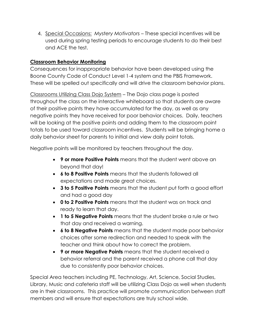4. Special Occasions: *Mystery Motivators* – These special incentives will be used during spring testing periods to encourage students to do their best and ACE the test.

#### **Classroom Behavior Monitoring**

Consequences for inappropriate behavior have been developed using the Boone County Code of Conduct Level 1-4 system and the PBIS Framework. These will be spelled out specifically and will drive the classroom behavior plans.

Classrooms Utilizing Class Dojo System – The Dojo class page is posted throughout the class on the interactive whiteboard so that students are aware of their positive points they have accumulated for the day, as well as any negative points they have received for poor behavior choices. Daily, teachers will be looking at the positive points and adding them to the classroom point totals to be used toward classroom incentives. Students will be bringing home a daily behavior sheet for parents to initial and view daily point totals.

Negative points will be monitored by teachers throughout the day.

- **9 or more Positive Points** means that the student went above an beyond that day!
- **6 to 8 Positive Points** means that the students followed all expectations and made great choices.
- **3 to 5 Positive Points** means that the student put forth a good effort and had a good day
- **0 to 2 Positive Points** means that the student was on track and ready to learn that day.
- **1 to 5 Negative Points** means that the student broke a rule or two that day and received a warning.
- **6 to 8 Negative Points** means that the student made poor behavior choices after some redirection and needed to speak with the teacher and think about how to correct the problem.
- **9 or more Negative Points** means that the student received a behavior referral and the parent received a phone call that day due to consistently poor behavior choices.

Special Area teachers including PE, Technology, Art, Science, Social Studies, Library, Music and cafeteria staff will be utilizing Class Dojo as well when students are in their classrooms. This practice will promote communication between staff members and will ensure that expectations are truly school wide.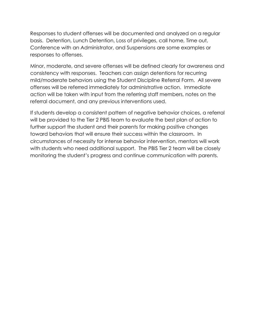Responses to student offenses will be documented and analyzed on a regular basis. Detention, Lunch Detention, Loss of privileges, call home, Time out, Conference with an Administrator, and Suspensions are some examples or responses to offenses.

Minor, moderate, and severe offenses will be defined clearly for awareness and consistency with responses. Teachers can assign detentions for recurring mild/moderate behaviors using the Student Discipline Referral Form. All severe offenses will be referred immediately for administrative action. Immediate action will be taken with input from the referring staff members, notes on the referral document, and any previous interventions used.

If students develop a consistent pattern of negative behavior choices, a referral will be provided to the Tier 2 PBIS team to evaluate the best plan of action to further support the student and their parents for making positive changes toward behaviors that will ensure their success within the classroom. In circumstances of necessity for intense behavior intervention, mentors will work with students who need additional support. The PBIS Tier 2 team will be closely monitoring the student's progress and continue communication with parents.